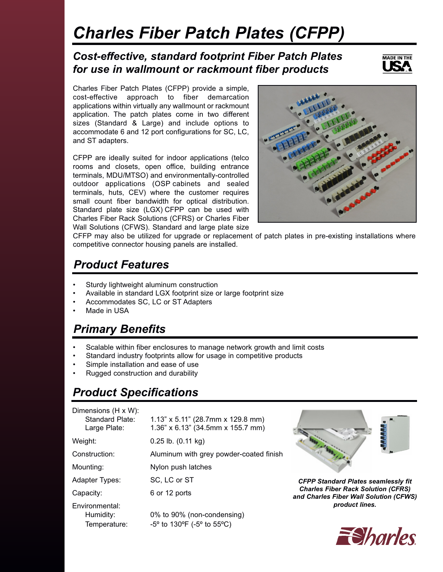# *Charles Fiber Patch Plates (CFPP)*

#### *Cost-effective, standard footprint Fiber Patch Plates for use in wallmount or rackmount fiber products*



Charles Fiber Patch Plates (CFPP) provide a simple, cost-effective approach to fiber demarcation applications within virtually any wallmount or rackmount application. The patch plates come in two different sizes (Standard & Large) and include options to accommodate 6 and 12 port configurations for SC, LC, and ST adapters.

CFPP are ideally suited for indoor applications (telco rooms and closets, open office, building entrance terminals, MDU/MTSO) and environmentally-controlled outdoor applications (OSP cabinets and sealed terminals, huts, CEV) where the customer requires small count fiber bandwidth for optical distribution. Standard plate size (LGX) CFPP can be used with Charles Fiber Rack Solutions (CFRS) or Charles Fiber Wall Solutions (CFWS). Standard and large plate size



CFFP may also be utilized for upgrade or replacement of patch plates in pre-existing installations where competitive connector housing panels are installed.

# *Product Features*

- Sturdy lightweight aluminum construction
- Available in standard LGX footprint size or large footprint size
- Accommodates SC, LC or ST Adapters
- Made in USA

# *Primary Benefits*

- Scalable within fiber enclosures to manage network growth and limit costs
- Standard industry footprints allow for usage in competitive products
- Simple installation and ease of use
- Rugged construction and durability

# *Product Specifications*

| Dimensions (H x W):<br>Standard Plate:<br>Large Plate: | $1.13$ " x 5.11" (28.7mm x 129.8 mm)<br>$1.36"$ x 6.13" (34.5mm x 155.7 mm) |
|--------------------------------------------------------|-----------------------------------------------------------------------------|
| Weight:                                                | $0.25$ lb. $(0.11 \text{ kg})$                                              |
| Construction:                                          | Aluminum with grey powder-coated finish                                     |
| Mounting:                                              | Nylon push latches                                                          |
| Adapter Types:                                         | SC, LC or ST                                                                |
| Capacity:                                              | 6 or 12 ports                                                               |
| Environmental:<br>Humidity:<br>Temperature:            | 0% to 90% (non-condensing)<br>$-5^{\circ}$ to 130°F ( $-5^{\circ}$ to 55°C) |



*CFPP Standard Plates seamlessly fit Charles Fiber Rack Solution (CFRS) and Charles Fiber Wall Solution (CFWS) product lines.*